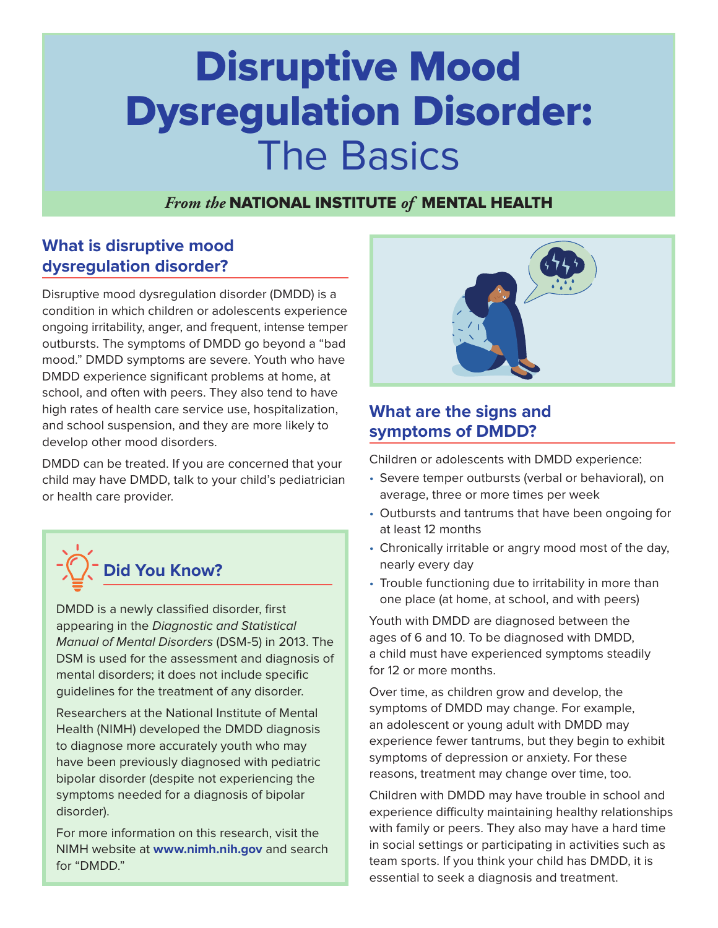# Disruptive Mood Dysregulation Disorder: The Basics

## *From the* NATIONAL INSTITUTE *of* MENTAL HEALTH

## **What is disruptive mood dysregulation disorder?**

Disruptive mood dysregulation disorder (DMDD) is a condition in which children or adolescents experience ongoing irritability, anger, and frequent, intense temper outbursts. The symptoms of DMDD go beyond a "bad mood." DMDD symptoms are severe. Youth who have DMDD experience significant problems at home, at school, and often with peers. They also tend to have high rates of health care service use, hospitalization, and school suspension, and they are more likely to develop other mood disorders.

DMDD can be treated. If you are concerned that your child may have DMDD, talk to your child's pediatrician or health care provider.



DMDD is a newly classified disorder, first appearing in the Diagnostic and Statistical Manual of Mental Disorders (DSM-5) in 2013. The DSM is used for the assessment and diagnosis of mental disorders; it does not include specific guidelines for the treatment of any disorder.

Researchers at the National Institute of Mental Health (NIMH) developed the DMDD diagnosis to diagnose more accurately youth who may have been previously diagnosed with pediatric bipolar disorder (despite not experiencing the symptoms needed for a diagnosis of bipolar disorder).

For more information on this research, visit the NIMH website at **[www.nimh.nih.gov](https://www.nimh.nih.gov/)** and search for "DMDD."



## **What are the signs and symptoms of DMDD?**

Children or adolescents with DMDD experience:

- Severe temper outbursts (verbal or behavioral), on average, three or more times per week
- Outbursts and tantrums that have been ongoing for at least 12 months
- Chronically irritable or angry mood most of the day, nearly every day
- Trouble functioning due to irritability in more than one place (at home, at school, and with peers)

Youth with DMDD are diagnosed between the ages of 6 and 10. To be diagnosed with DMDD, a child must have experienced symptoms steadily for 12 or more months.

Over time, as children grow and develop, the symptoms of DMDD may change. For example, an adolescent or young adult with DMDD may experience fewer tantrums, but they begin to exhibit symptoms of depression or anxiety. For these reasons, treatment may change over time, too.

Children with DMDD may have trouble in school and experience difficulty maintaining healthy relationships with family or peers. They also may have a hard time in social settings or participating in activities such as team sports. If you think your child has DMDD, it is essential to seek a diagnosis and treatment.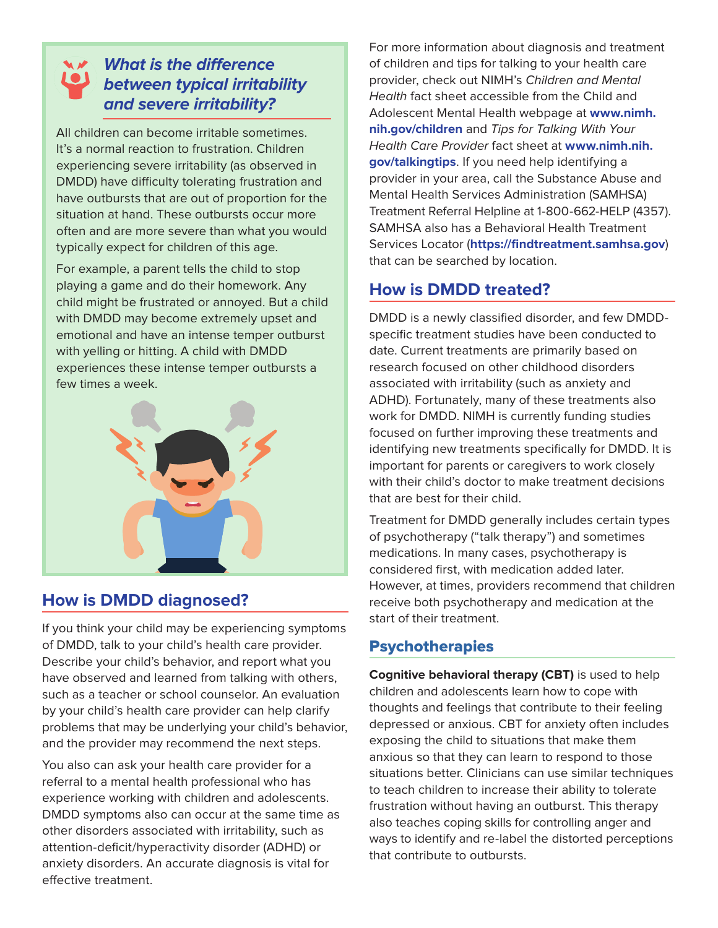## **What is the difference between typical irritability and severe irritability?**

All children can become irritable sometimes. It's a normal reaction to frustration. Children experiencing severe irritability (as observed in DMDD) have difficulty tolerating frustration and have outbursts that are out of proportion for the situation at hand. These outbursts occur more often and are more severe than what you would typically expect for children of this age.

For example, a parent tells the child to stop playing a game and do their homework. Any child might be frustrated or annoyed. But a child with DMDD may become extremely upset and emotional and have an intense temper outburst with yelling or hitting. A child with DMDD experiences these intense temper outbursts a few times a week.



# **How is DMDD diagnosed?**

If you think your child may be experiencing symptoms of DMDD, talk to your child's health care provider. Describe your child's behavior, and report what you have observed and learned from talking with others, such as a teacher or school counselor. An evaluation by your child's health care provider can help clarify problems that may be underlying your child's behavior, and the provider may recommend the next steps.

You also can ask your health care provider for a referral to a mental health professional who has experience working with children and adolescents. DMDD symptoms also can occur at the same time as other disorders associated with irritability, such as attention-deficit/hyperactivity disorder (ADHD) or anxiety disorders. An accurate diagnosis is vital for effective treatment.

For more information about diagnosis and treatment of children and tips for talking to your health care provider, check out NIMH's Children and Mental Health fact sheet accessible from the Child and Adolescent Mental Health webpage at **[www.nimh.](https://www.nimh.nih.gov/children) [nih.gov/children](https://www.nimh.nih.gov/children)** and Tips for Talking With Your Health Care Provider fact sheet at **[www.nimh.nih.](https://www.nimh.nih.gov/talkingtips) [gov/talkingtips](https://www.nimh.nih.gov/talkingtips)**. If you need help identifying a provider in your area, call the Substance Abuse and Mental Health Services Administration (SAMHSA) Treatment Referral Helpline at 1-800-662-HELP (4357). SAMHSA also has a Behavioral Health Treatment Services Locator (**<https://findtreatment.samhsa.gov>**) that can be searched by location.

## **How is DMDD treated?**

DMDD is a newly classified disorder, and few DMDDspecific treatment studies have been conducted to date. Current treatments are primarily based on research focused on other childhood disorders associated with irritability (such as anxiety and ADHD). Fortunately, many of these treatments also work for DMDD. NIMH is currently funding studies focused on further improving these treatments and identifying new treatments specifically for DMDD. It is important for parents or caregivers to work closely with their child's doctor to make treatment decisions that are best for their child.

Treatment for DMDD generally includes certain types of psychotherapy ("talk therapy") and sometimes medications. In many cases, psychotherapy is considered first, with medication added later. However, at times, providers recommend that children receive both psychotherapy and medication at the start of their treatment.

## **Psychotherapies**

**Cognitive behavioral therapy (CBT)** is used to help children and adolescents learn how to cope with thoughts and feelings that contribute to their feeling depressed or anxious. CBT for anxiety often includes exposing the child to situations that make them anxious so that they can learn to respond to those situations better. Clinicians can use similar techniques to teach children to increase their ability to tolerate frustration without having an outburst. This therapy also teaches coping skills for controlling anger and ways to identify and re-label the distorted perceptions that contribute to outbursts.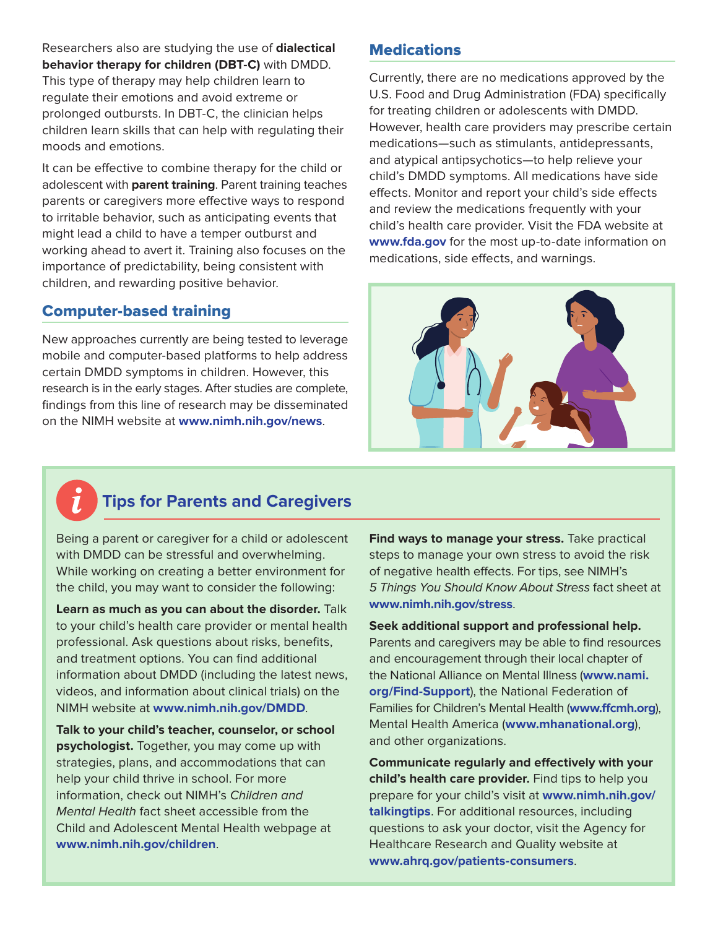Researchers also are studying the use of **dialectical behavior therapy for children (DBT-C)** with DMDD. This type of therapy may help children learn to regulate their emotions and avoid extreme or prolonged outbursts. In DBT-C, the clinician helps children learn skills that can help with regulating their moods and emotions.

It can be effective to combine therapy for the child or adolescent with **parent training**. Parent training teaches parents or caregivers more effective ways to respond to irritable behavior, such as anticipating events that might lead a child to have a temper outburst and working ahead to avert it. Training also focuses on the importance of predictability, being consistent with children, and rewarding positive behavior.

#### Computer-based training

New approaches currently are being tested to leverage mobile and computer-based platforms to help address certain DMDD symptoms in children. However, this research is in the early stages. After studies are complete, findings from this line of research may be disseminated on the NIMH website at **[www.nimh.nih.gov/news](https://www.nimh.nih.gov/news)**.

### **Medications**

Currently, there are no medications approved by the U.S. Food and Drug Administration (FDA) specifically for treating children or adolescents with DMDD. However, health care providers may prescribe certain medications—such as stimulants, antidepressants, and atypical antipsychotics—to help relieve your child's DMDD symptoms. All medications have side effects. Monitor and report your child's side effects and review the medications frequently with your child's health care provider. Visit the FDA website at **[www.fda.gov](https://www.fda.gov/)** for the most up-to-date information on medications, side effects, and warnings.



# **Tips for Parents and Caregivers**

Being a parent or caregiver for a child or adolescent with DMDD can be stressful and overwhelming. While working on creating a better environment for the child, you may want to consider the following:

**Learn as much as you can about the disorder.** Talk to your child's health care provider or mental health professional. Ask questions about risks, benefits, and treatment options. You can find additional information about DMDD (including the latest news, videos, and information about clinical trials) on the NIMH website at **[www.nimh.nih.gov/DMDD](https://www.nimh.nih.gov/DMDD)**.

**Talk to your child's teacher, counselor, or school psychologist.** Together, you may come up with strategies, plans, and accommodations that can help your child thrive in school. For more information, check out NIMH's Children and Mental Health fact sheet accessible from the Child and Adolescent Mental Health webpage at **[www.nimh.nih.gov/children](https://www.nimh.nih.gov/children)**.

**Find ways to manage your stress.** Take practical steps to manage your own stress to avoid the risk of negative health effects. For tips, see NIMH's 5 Things You Should Know About Stress fact sheet at **[www.nimh.nih.gov/stress](https://www.nimh.nih.gov/stress)**.

**Seek additional support and professional help.** Parents and caregivers may be able to find resources and encouragement through their local chapter of the National Alliance on Mental Illness (**[www.nami.](http://www.nami.org/Find-Support) [org/Find-Support](http://www.nami.org/Find-Support)**), the National Federation of Families for Children's Mental Health (**[www.ffcmh.org](https://www.ffcmh.org/)**), Mental Health America (**[www.mhanational.org](https://www.mhanational.org/)**), and other organizations.

**Communicate regularly and effectively with your child's health care provider.** Find tips to help you prepare for your child's visit at **[www.nimh.nih.gov/](https://www.nimh.nih.gov/talkingtips) [talkingtips](https://www.nimh.nih.gov/talkingtips)**. For additional resources, including questions to ask your doctor, visit the Agency for Healthcare Research and Quality website at **[www.ahrq.gov/patients-consumers](https://www.ahrq.gov/patients-consumers)**.